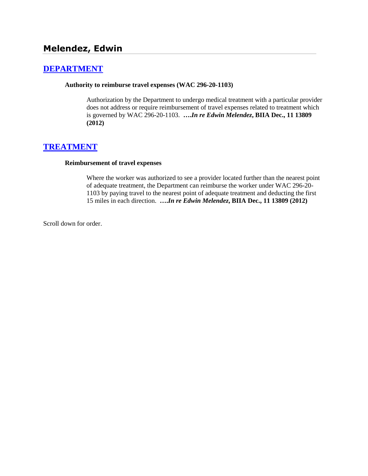# **[DEPARTMENT](http://www.biia.wa.gov/SDSubjectIndex.html#DEPARTMENT)**

#### **Authority to reimburse travel expenses (WAC 296-20-1103)**

Authorization by the Department to undergo medical treatment with a particular provider does not address or require reimbursement of travel expenses related to treatment which is governed by WAC 296-20-1103. **….***In re Edwin Melendez***, BIIA Dec., 11 13809 (2012)**

## **[TREATMENT](http://www.biia.wa.gov/SDSubjectIndex.html#TREATMENT)**

#### **Reimbursement of travel expenses**

Where the worker was authorized to see a provider located further than the nearest point of adequate treatment, the Department can reimburse the worker under WAC 296-20- 1103 by paying travel to the nearest point of adequate treatment and deducting the first 15 miles in each direction. **….***In re Edwin Melendez***, BIIA Dec., 11 13809 (2012)**

Scroll down for order.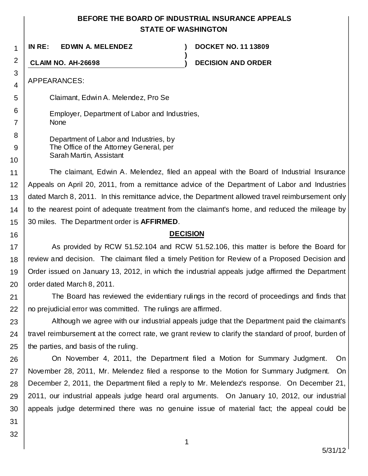# **BEFORE THE BOARD OF INDUSTRIAL INSURANCE APPEALS STATE OF WASHINGTON**

**)**

**IN RE: EDWIN A. MELENDEZ ) DOCKET NO. 11 13809**

**CLAIM NO. AH-26698 ) DECISION AND ORDER**

APPEARANCES:

1

2

3 4

5

6 7

8 9

10

16

Claimant, Edwin A. Melendez, Pro Se

Employer, Department of Labor and Industries, None

Department of Labor and Industries, by The Office of the Attorney General, per Sarah Martin, Assistant

11 12 13 14 15 The claimant, Edwin A. Melendez, filed an appeal with the Board of Industrial Insurance Appeals on April 20, 2011, from a remittance advice of the Department of Labor and Industries dated March 8, 2011. In this remittance advice, the Department allowed travel reimbursement only to the nearest point of adequate treatment from the claimant's home, and reduced the mileage by 30 miles. The Department order is **AFFIRMED**.

### **DECISION**

17 18 19 20 As provided by RCW 51.52.104 and RCW 51.52.106, this matter is before the Board for review and decision. The claimant filed a timely Petition for Review of a Proposed Decision and Order issued on January 13, 2012, in which the industrial appeals judge affirmed the Department order dated March 8, 2011.

21 22 The Board has reviewed the evidentiary rulings in the record of proceedings and finds that no prejudicial error was committed. The rulings are affirmed.

23 24 25 Although we agree with our industrial appeals judge that the Department paid the claimant's travel reimbursement at the correct rate, we grant review to clarify the standard of proof, burden of the parties, and basis of the ruling.

26 27 28 29 30 On November 4, 2011, the Department filed a Motion for Summary Judgment. On November 28, 2011, Mr. Melendez filed a response to the Motion for Summary Judgment. On December 2, 2011, the Department filed a reply to Mr. Melendez's response. On December 21, 2011, our industrial appeals judge heard oral arguments. On January 10, 2012, our industrial appeals judge determined there was no genuine issue of material fact; the appeal could be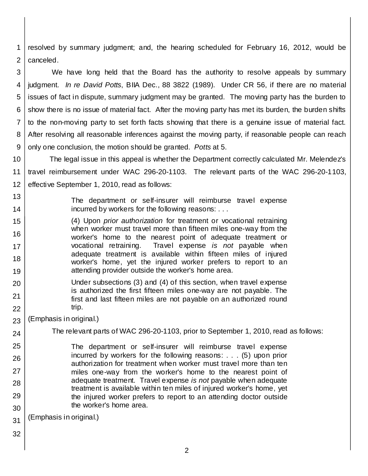1 2 resolved by summary judgment; and, the hearing scheduled for February 16, 2012, would be canceled.

3 4 5 6 7 8 9 We have long held that the Board has the authority to resolve appeals by summary judgment. *In re David Potts*, BIIA Dec., 88 3822 (1989). Under CR 56, if there are no material issues of fact in dispute, summary judgment may be granted. The moving party has the burden to show there is no issue of material fact. After the moving party has met its burden, the burden shifts to the non-moving party to set forth facts showing that there is a genuine issue of material fact. After resolving all reasonable inferences against the moving party, if reasonable people can reach only one conclusion, the motion should be granted. *Potts* at 5.

- 10 11 12 The legal issue in this appeal is whether the Department correctly calculated Mr. Melendez's travel reimbursement under WAC 296-20-1103. The relevant parts of the WAC 296-20-1103, effective September 1, 2010, read as follows:
- 13 14 The department or self-insurer will reimburse travel expense incurred by workers for the following reasons: . . .

(4) Upon *prior authorization* for treatment or vocational retraining when worker must travel more than fifteen miles one-way from the worker's home to the nearest point of adequate treatment or vocational retraining. Travel expense *is not* payable when adequate treatment is available within fifteen miles of injured worker's home, yet the injured worker prefers to report to an attending provider outside the worker's home area.

Under subsections (3) and (4) of this section, when travel expense is authorized the first fifteen miles one-way are not payable. The first and last fifteen miles are not payable on an authorized round trip.

23 (Emphasis in original.)

The relevant parts of WAC 296-20-1103, prior to September 1, 2010, read as follows:

The department or self-insurer will reimburse travel expense incurred by workers for the following reasons: . . . (5) upon prior authorization for treatment when worker must travel more than ten miles one-way from the worker's home to the nearest point of adequate treatment. Travel expense *is not* payable when adequate treatment is available within ten miles of injured worker's home, yet the injured worker prefers to report to an attending doctor outside the worker's home area.

31 (Emphasis in original.)

32

15

16

17

18

19

20

21

22

24

25

26

27

28

29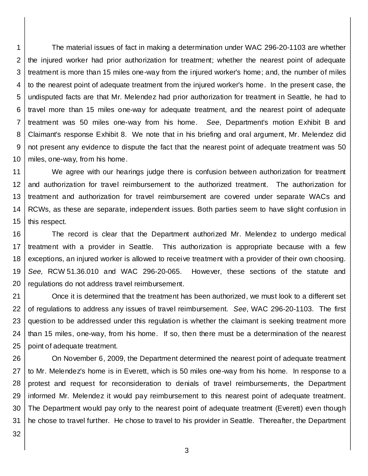1 2 3 4 5 6 7 8 9 10 The material issues of fact in making a determination under WAC 296-20-1103 are whether the injured worker had prior authorization for treatment; whether the nearest point of adequate treatment is more than 15 miles one-way from the injured worker's home; and, the number of miles to the nearest point of adequate treatment from the injured worker's home. In the present case, the undisputed facts are that Mr. Melendez had prior authorization for treatment in Seattle, he had to travel more than 15 miles one-way for adequate treatment, and the nearest point of adequate treatment was 50 miles one-way from his home. *See*, Department's motion Exhibit B and Claimant's response Exhibit 8. We note that in his briefing and oral argument, Mr. Melendez did not present any evidence to dispute the fact that the nearest point of adequate treatment was 50 miles, one-way, from his home.

11 12 13 14 15 We agree with our hearings judge there is confusion between authorization for treatment and authorization for travel reimbursement to the authorized treatment. The authorization for treatment and authorization for travel reimbursement are covered under separate WACs and RCWs, as these are separate, independent issues. Both parties seem to have slight confusion in this respect.

16 17 18 19 20 The record is clear that the Department authorized Mr. Melendez to undergo medical treatment with a provider in Seattle. This authorization is appropriate because with a few exceptions, an injured worker is allowed to receive treatment with a provider of their own choosing. *See,* RCW 51.36.010 and WAC 296-20-065. However, these sections of the statute and regulations do not address travel reimbursement.

21 22 23 24 25 Once it is determined that the treatment has been authorized, we must look to a different set of regulations to address any issues of travel reimbursement. *See*, WAC 296-20-1103. The first question to be addressed under this regulation is whether the claimant is seeking treatment more than 15 miles, one-way, from his home. If so, then there must be a determination of the nearest point of adequate treatment.

26 27 28 29 30 31 On November 6, 2009, the Department determined the nearest point of adequate treatment to Mr. Melendez's home is in Everett, which is 50 miles one-way from his home. In response to a protest and request for reconsideration to denials of travel reimbursements, the Department informed Mr. Melendez it would pay reimbursement to this nearest point of adequate treatment. The Department would pay only to the nearest point of adequate treatment (Everett) even though he chose to travel further. He chose to travel to his provider in Seattle. Thereafter, the Department

32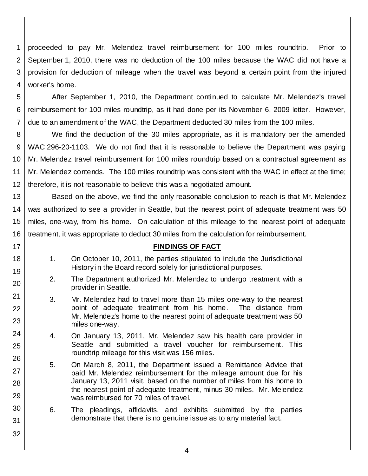1 2 3 4 proceeded to pay Mr. Melendez travel reimbursement for 100 miles roundtrip. Prior to September 1, 2010, there was no deduction of the 100 miles because the WAC did not have a provision for deduction of mileage when the travel was beyond a certain point from the injured worker's home.

5 6 7 After September 1, 2010, the Department continued to calculate Mr. Melendez's travel reimbursement for 100 miles roundtrip, as it had done per its November 6, 2009 letter. However, due to an amendment of the WAC, the Department deducted 30 miles from the 100 miles.

8 9 10 11 12 We find the deduction of the 30 miles appropriate, as it is mandatory per the amended WAC 296-20-1103. We do not find that it is reasonable to believe the Department was paying Mr. Melendez travel reimbursement for 100 miles roundtrip based on a contractual agreement as Mr. Melendez contends. The 100 miles roundtrip was consistent with the WAC in effect at the time; therefore, it is not reasonable to believe this was a negotiated amount.

13 14 15 16 Based on the above, we find the only reasonable conclusion to reach is that Mr. Melendez was authorized to see a provider in Seattle, but the nearest point of adequate treatment was 50 miles, one-way, from his home. On calculation of this mileage to the nearest point of adequate treatment, it was appropriate to deduct 30 miles from the calculation for reimbursement.

### **FINDINGS OF FACT**

1. On October 10, 2011, the parties stipulated to include the Jurisdictional History in the Board record solely for jurisdictional purposes.

17 18

19

20

21

22 23

24

25

26

27

28

29 30

31

- 2. The Department authorized Mr. Melendez to undergo treatment with a provider in Seattle.
- 3. Mr. Melendez had to travel more than 15 miles one-way to the nearest point of adequate treatment from his home. The distance from Mr. Melendez's home to the nearest point of adequate treatment was 50 miles one-way.
- 4. On January 13, 2011, Mr. Melendez saw his health care provider in Seattle and submitted a travel voucher for reimbursement. This roundtrip mileage for this visit was 156 miles.
- 5. On March 8, 2011, the Department issued a Remittance Advice that paid Mr. Melendez reimbursement for the mileage amount due for his January 13, 2011 visit, based on the number of miles from his home to the nearest point of adequate treatment, minus 30 miles. Mr. Melendez was reimbursed for 70 miles of travel.
- 6. The pleadings, affidavits, and exhibits submitted by the parties demonstrate that there is no genuine issue as to any material fact.
	- 4